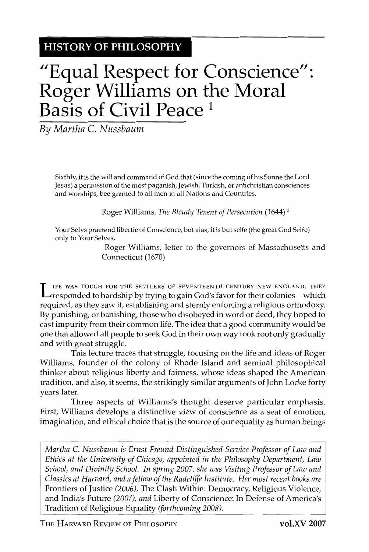# **"Equal Respect for Conscience": Roger Williams on the Moral Basis of Civil Peace <sup>1</sup>**

By *Martha* C. *Nussbaum* 

Sixthly, it is the will and command of God that (since the coming of his Sonne the Lord Jesus) a permission of the most paganish, Jewish, Turkish, or antichristian consciences and worships, bee granted to all men in all Nations and Countries.

Roger Williams, *The Bloudy Tenent of Persecution* (1644)<sup>2</sup>

Your Selvs praetend libertie of Conscience, but alas, it is but selfe (the great God Selfe) only to Your Selves.

> Roger Williams, letter to the governors of Massachusetts and Connecticut (1670)

LIFE WAS TOUGH FOR THE SETTLERS OF SEVENTEENTH CENTURY NEW ENGLAND. THEY responded to hardship by trying to gain God's favor for their colonies—which required, as they saw it, establishing and sternly enforcing a religious orthodoxy. By punishing, or banishing, those who disobeyed in word or deed, they hoped to cast impurity from their common life. The idea that a good community would be one that allowed all people to seek God in their own way took root only gradually and with great struggle.

This lecture traces that struggle, focusing on the life and ideas of Roger Williams, founder of the colony of Rhode Island and seminal philosophical thinker about religious liberty and fairness, whose ideas shaped the American tradition, and also, it seems, the strikingly similar arguments of John Locke forty years later.

Three aspects of Williams's thought deserve particular emphasis. First, Williams develops a distinctive view of conscience as a seat of emotion, imagination, and ethical choice that is the source of our equality as human beings

*Martha C. Nussbaum is Ernst Freund Distinguished Service Professor of Law and Ethics at the University of Chicago, appointed in the Philosophy Department, Law School, and Divinity School. In spring 2007, she was Visiting Professor of Law and Classics at Harvard, and a fellow of the Radcliffe Institute. Hcr most recent books are*  Frontiers of Justice *(2006),* The Clash Within: Democracy, Religious Violence, and India's Future *(2007), and* Liberty of Conscience: In Defense of America's Tradition of Religious Equality (forthcoming 2008).

THE HARVARD REVIEW OF PHILOSOPHY vol.XV **2007**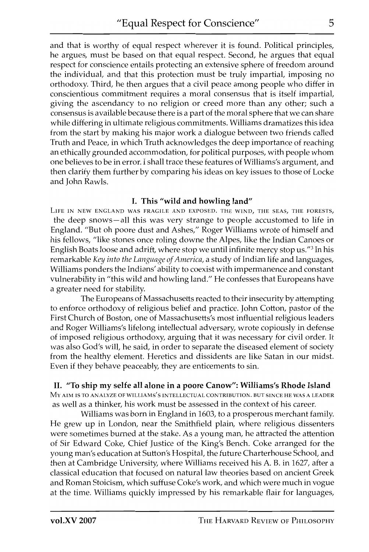and that is worthy of equal respect wherever it is found. Political principles, he argues, must be based on that equal respect. Second, he argues that equal respect for conscience entails protecting an extensive sphere of freedom around the individual, and that this protection must be truly impartial, imposing no orthodoxy. Third, he then argues that a civil peace among people who differ in conscientious commitment requires a moral consensus that is itself impartial, giving the ascendancy to no religion or creed more than any other; such a consensus is available because there is a part of the moral sphere that we can share while differing in ultimate religious commitments. Williams dramatizes this idea from the start by making his major work a dialogue between two friends called Truth and Peace, in which Truth acknowledges the deep importance of reaching an ethically grounded accommodation, for political purposes, with people whom one believes to be in error. I shall trace these features of Williams's argument, and then clarify them further by comparing his ideas on key issues to those of Locke and John Rawls.

# I. This "wild and howling land"

LIFE IN NEW ENGLAND WAS FRAGILE AND EXPOSED. THE WIND, THE SEAS, THE FORESTS, the deep snows-all this was very strange to people accustomed to life in England. "But oh poore dust and Ashes," Roger Williams wrote of himself and his fellows, "like stones once roling downe the Alpes, like the Indian Canoes or English Boats loose and adrift, where stop we until infinite mercy stop us." $3$  In his remarkable *Key into the Language of America*, a study of Indian life and languages, Williams ponders the Indians' ability to coexist with im permanence and constant vulnerability in "this wild and howling land." He confesses that Europeans have a greater need for stability.

The Europeans of Massachusetts reacted to their insecurity by attempting to enforce orthodoxy of religious belief and practice. John Cotton, pastor of the First Church of Boston, one of Massachusetts's most influential religious leaders and Roger Williams's lifelong intellectual adversary, wrote copiously in defense of imposed religious orthodoxy, arguing that it was necessary for civil order. It was also God's will, he said, in order to separate the diseased element of society from the healthy element. Heretics and dissidents are like Satan in our midst. Even if they behave peaceably, they are enticements to sin.

## II. "To ship my selfe all alone in a poore Canow": Williams's Rhode Island

MY AIM IS TO ANALYZE OF WILLIAMS'S INTELLECTUAL CONTRIBUTION. BUT SINCE HE WAS A LEADER as well as a thinker, his work must be assessed in the context of his career.

Williams was born in England in 1603, to a prosperous merchant family. He grew up in London, near the Smithfield plain, where religious dissenters were sometimes burned at the stake. As a young man, he attracted the attention of Sir Edward Coke, Chief Justice of the King's Bench. Coke arranged for the young man's education at Sutton's Hospital, the future Charterhouse School, and then at Cambridge University, where Williams received his A. B. in 1627, after a classical education that focused on natural law theories based on ancient Greek and Roman Stoicism, which suffuse Coke's work, and which were much in vogue at the time. Williams quickly impressed by his remarkable flair for languages,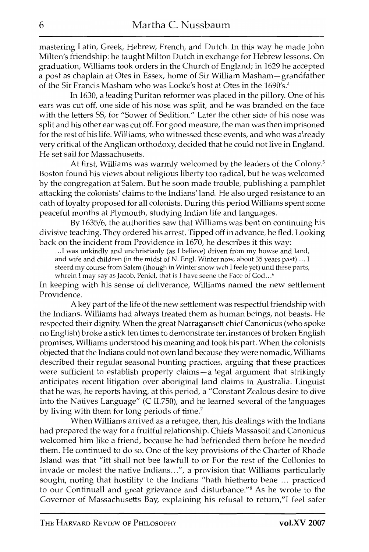mastering Latin, Greek, Hebrew, French, and Dutch. In this way he made John Milton's friendship: he taught Milton Dutch in exchange for Hebrew lessons. On graduation, Williams took orders in the Church of England; in 1629 he accepted a post as chaplain at Otes in Essex, home of Sir William Masham-grandfather of the Sir Francis Masham who was Locke's host at Otes in the 1690's.4

In 1630, a leading Puritan reformer was placed in the pillory. One of his ears was cut off, one side of his nose was split, and he was branded on the face with the letters SS, for "Sower of Sedition." Later the other side of his nose was split and his other ear was cut off. For good measure, the man was then imprisoned for the rest of his life. Williams, who witnessed these events, and who was already very critical of the Anglican orthodoxy, decided that he could not live in England. He set sail for Massachusetts.

At first, Williams was warmly welcomed by the leaders of the Colony.<sup>5</sup> Boston found his views about religious liberty too radical, but he was welcomed by the congregation at Salem. But he soon made trouble, publishing a pamphlet attacking the colonists' claims to the Indians' land. He also urged resistance to an oath of loyalty proposed for all colonists. During this period Williams spent some peaceful months at Plymouth, studying Indian life and languages.

By 1635/6, the authorities saw that Williams was bent on continuing his divisive teaching. They ordered his arrest. Tipped off in advance, he fled. Looking back on the incident from Providence in 1670, he describes it this way:

...I was unkindly and unchristianly (as I believe) driven from my howse and land,

and wife and children (in the midst of N. Eng!. Winter now, about 35 years past) ... I

steerd my course from Salem (though in Winter snow wch I feele yet) untl these parts,

whrein I may say as Jacob, Peniel, that is I have seene the Face of God...<sup>6</sup>

In keeping with his sense of deliverance, Williams named the new settlement Providence.

A key part of the life of the new settlement was respectful friendship with the Indians. Williams had always treated them as human beings, not beasts. He respected their dignity. When the great Narragansett chief Canonicus (who spoke no English) broke a stick ten times to demonstrate ten instances of broken English promises, Williams understood his meaning and took his part. When the colonists objected that the Indians could not own land because they were nomadic, Williams described their regular seasonal hunting practices, arguing that these practices were sufficient to establish property claims-a legal argument that strikingly anticipates recent litigation over aboriginal land claims in Australia. Linguist that he was, he reports having, at this period, a "Constant Zealous desire to dive into the Natives Language" (C II.750), and he learned several of the languages by living with them for long periods of time?

When Williams arrived as a refugee, then, his dealings with the Indians had prepared the way for a fruitful relationship. Chiefs Massasoit and Canonicus welcomed him like a friend, because he had befriended them before he needed them. He continued to do so. One of the key provisions of the Charter of Rhode Island was that "itt shall not bee lawfull to or For the rest of the Collonies to invade or molest the native Indians ... ", a provision that Williams particularly sought, noting that hostility to the Indians "hath hietherto bene ... practiced to our Continuall and great grievance and disturbance."<sup>8</sup> As he wrote to the Governor of Massachusetts Bay, explaining his refusal to return,"I feel safer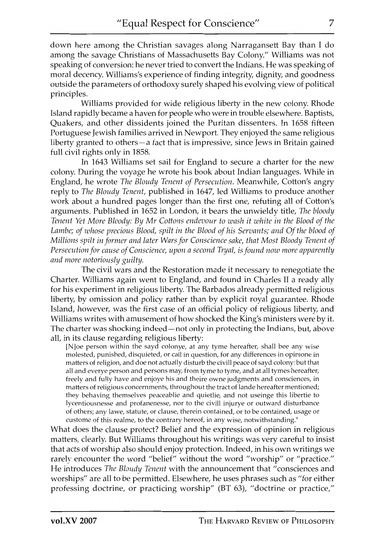down here among the Christian savages along Narragansett Bay than I do among the savage Christians of Massachusetts Bay Colony." Williams was not speaking of conversion: he never tried to convert the Indians. He was speaking of moral decency. Williams's experience of finding integrity, dignity, and goodness outside the parameters of orthodoxy surely shaped his evolving view of political principles.

Williams provided for wide religious liberty in the new colony. Rhode Island rapidly became a haven for people who were in trouble elsewhere. Baptists, Quakers, and other dissidents joined the Puritan dissenters. In 1658 fifteen Portuguese Jewish families arrived in Newport. They enjoyed the same religious liberty granted to others-a fact that is impressive, since Jews in Britain gained full civil rights only in 1858.

In 1643 Williams set sail for England to secure a charter for the new colony. During the voyage he wrote his book about Indian languages. While in England, he wrote *The Bloudy Tenent of Persecution.* Meanwhile, Cotton's angry reply to *The Bloudy Tenent,* published in 1647, led Williams to produce another work about a hundred pages longer than the first one, refuting all of Cotton's arguments. Published in 1652 in London, it bears the unwieldy title, *The bloody Tenent Yet More Bloody: By Mr Cottons endevour to wash it white in the Blood of the* Lambe; of whose precious Blood, spilt in the Blood of his Servants; and Of the blood of *Millions spilt in former and later Wars for Conscience sake, that Most Bloody Tenent of Persecution for cause of Conscience, upon a second Tryal, is found now more apparently and more notoriollsly guilty.* 

The civil wars and the Restoration made it necessary to renegotiate the Charter. Williams again went to England, and found in Charles II a ready ally for his experiment in religious liberty. The Barbados already permitted religious liberty, by omission and policy rather than by explicit royal guarantee. Rhode Island, however, was the first case of an official policy of religious liberty, and Williams writes with amusement of how shocked the King's ministers were by it. The charter was shocking indeed – not only in protecting the Indians, but, above all, in its clause regarding religious liberty:

[N]oe person within the sayd colonye, at any tyme hereafter, shall bee any wise molested, punished, disquieted, or call in question, for any differences in opinione in matters of religion, and doe not actually disturb the civil! peace of sayd colony; but that all and everye person and persons may, from tyme to tyme, and at all tymes hereafter, freely and fully have and enjoye his and theire owne judgments and consciences, in matters of religious concernments, throughout the tract of lande hereafter mentioned; they behaving themselves peaceablie and quietlie, and not useinge this libertie to Iycentiousnesse and profanenesse, nor to the civill injuryc or outward disturbance of others; any lawe, statute, or clause, therein contained, or to be contained, usage or custome of this realme, to the contrary hereof, in any wise, notwithstanding.<sup>9</sup>

What does the clause protect? Belief and the expression of opinion in religious matters, clearly. But Williams throughout his writings was very careful to insist that acts of worship also should enjoy protection. Indeed, in his own writings we rarely encounter the word "belief" without the word "worship" or "practice." He introduces *The Bloudy Tenent* with the announcement that "consciences and worships" are all to be permitted. Elsewhere, he uses phrases such as "for either professing doctrine, or practicing worship" (BT 63), "doctrine or practice,"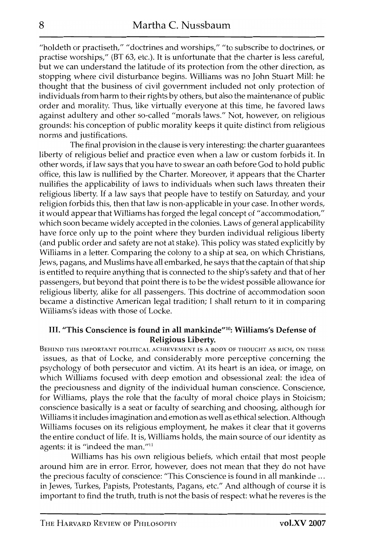"holdeth or practiseth," "doctrines and worships," "to subscribe to doctrines, or practise worships," (BT 63, etc.). It is unfortunate that the charter is less careful, but we can understand the latitude of its protection from the other direction, as stopping where civil disturbance begins. Williams was no John Stuart Mill: he thought that the business of civil government included not only protection of individuals from harm to their rights by others, but also the maintenance of public order and morality. Thus, like virtually everyone at this time, he favored laws against adultery and other so-called "morals laws." Not, however, on religious grounds: his conception of public morality keeps it quite distinct from religious norms and justifications.

The final provision in the clause is very interesting: the charter guarantees liberty of religious belief and practice even when a law or custom forbids it. In other words, if law says that you have to swear an oath before God to hold public office, this law is nullified by the Charter. Moreover, it appears that the Charter nullifies the applicability of laws to individuals when such laws threaten their religious liberty. If a law says that people have to testify on Saturday, and your religion forbids this, then that law is non-applicable in your case. In other words, it would appear that Williams has forged the legal concept of "accommodation," which soon became widely accepted in the colonies. Laws of general applicability have force only up to the point where they burden individual religious liberty (and public order and safety are not at stake). This policy was stated explicitly by Williams in a letter. Comparing the colony to a ship at sea, on which Christians, Jews, pagans, and Muslims have all embarked, he says that the captain of that ship is entitled to require anything that is connected to the ship's safety and that of her passengers, but beyond that point there is to be the widest possible allowance for religious liberty; alike for all passengers. This doctrine of accommodation soon became a distinctive American legal tradition; I shall return to it in comparing Williams's ideas with those of Locke.

### III. "This Conscience is found in all mankinde"<sup>10</sup>: Williams's Defense of Religious Liberty.

BEHIND THIS IMPORTANT POLITICAL ACHIEVEMENT IS A BODY OF THOUGHT AS RICH, ON THESE issues, as that of Locke, and considerably more perceptive concerning the psychology of both persecutor and victim. At its heart is an idea, or image, on which Williams focused with deep emotion and obsessional zeal: the idea of the preciousness and dignity of the individual human conscience. Conscience, for Williams, plays the role that the faculty of moral choice plays in Stoicism; conscience basically is a seat or faculty of searching and choosing, although for Williams it includes imagination and emotion as well as ethical selection. Although Williams focuses on its religious employment, he makes it clear that it governs the entire conduct of life. It is, Williams holds, the main source of our identity as agents: it is "indeed the man."<sup>11</sup>

Williams has his own religious beliefs, which entail that most people around him are in error. Error, however, does not mean that they do not have the precious faculty of conscience: "This Conscience is found in all mankinde ... in Jewes, Turkes, Papists, Protestants, Pagans, etc." And although of course it is important to find the truth, truth is not the basis of respect: what he reveres is the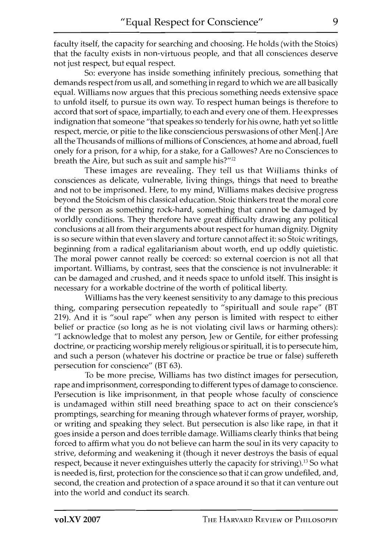faculty itself, the capacity for searching and choosing. He holds (with the Stoics) that the faculty exists in non-virtuous people, and that all consciences deserve not just respect, but equal respect.

So: everyone has inside something infinitely precious, something that demands respect from us all, and something in regard to which we are all basically equal. Williams now argues that this precious something needs extensive space to unfold itself, to pursue its own way. To respect human beings is therefore to accord that sort of space, impartially, to each and every one of them. He expresses indignation that someone "that speakes so tenderly for his owne, hath yet so little respect, mercie, or pitie to the like consciencious perswasions of other Men[.] Are all the Thousands of millions of millions of Consciences, at home and abroad, fuell onely for a prison, for a whip, for a stake, for a Gallowes? Are no Consciences to breath the Aire, but such as suit and sample his?"12

These images are revealing. They tell us that Williams thinks of consciences as delicate, vulnerable, living things, things that need to breathe and not to be imprisoned. Here, to my mind, Williams makes decisive progress beyond the Stoicism of his classical education. Stoic thinkers treat the moral core of the person as something rock-hard, something that cannot be damaged by worldly conditions. They therefore have great difficulty drawing any political conclusions at all from their arguments about respect for human dignity. Dignity is so secure within that even slavery and torture cannot affect it: so Stoic writings, beginning from a radical egalitarianism about worth, end up oddly quietistic. The moral power cannot really be coerced: so external coercion is not all that important. Williams, by contrast, sees that the conscience is not invulnerable: it can be damaged and crushed, and it needs space to unfold itself. This insight is necessary for a workable doctrine of the worth of political liberty.

Williams has the very keenest sensitivity to any damage to this precious thing, comparing persecution repeatedly to "spirituall and soule rape" (BT 219). And it is "soul rape" when any person is limited with respect to either belief or practice (so long as he is not violating civil laws or harming others): "I acknowledge that to molest any person, Jew or Gentile, for either professing doctrine, or practicing worship merely religious or spirituall, it is to persecute him, and such a person (whatever his doctrine or practice be true or false) suffereth persecution for conscience" (BT 63).

To be more precise, Williams has two distinct images for persecution, rape and imprisonment, corresponding to different types of damage to conscience. Persecution is like imprisonment, in that people whose faculty of conscience is undamaged within still need breathing space to act on their conscience's promptings, searching for meaning through whatever forms of prayer, worship, or writing and speaking they select. But persecution is also like rape, in that it goes inside a person and does terrible damage. Williams clearly thinks that being forced to affirm what you do not believe can harm the soul in its very capacity to strive, deforming and weakening it (though it never destroys the basis of equal respect, because it never extinguishes utterly the capacity for striving).<sup>13</sup> So what is needed is, first, protection for the conscience so that it can grow undefiled, and, second, the creation and protection of a space around it so that it can venture out into the world and conduct its search.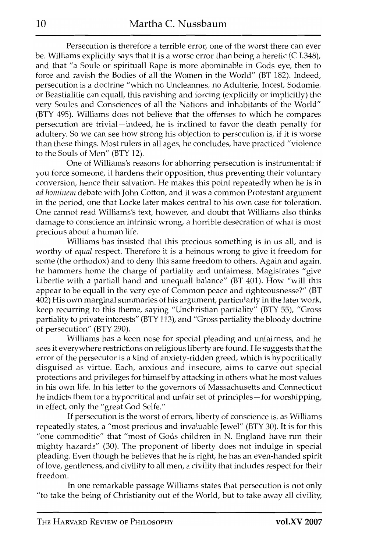Persecution is therefore a terrible error, one of the worst there can ever be. Williams explicitly says that it is a worse error than being a heretic (C 1.348), and that "a Soule or spirituall Rape is more abominable in Gods eye, then to force and ravish the Bodies of all the Women in the World" (BT 182). Indeed, persecution is a doctrine "which no Uncleannes, no Adulterie, Incest, Sodomie, or Beastialitie can equall, this ravishing and forcing (explicitly or implicitly) the very Soules and Consciences of all the Nations and Inhabitants of the World" (BTY 495). Williams does not believe that the offenses to which he compares persecution are trivial-indeed, he is inclined to favor the death penalty for adultery. So we can see how strong his objection to persecution is, if it is worse than these things. Most rulers in all ages, he concludes, have practiced "violence to the Souls of Men" (BTY 12).

One of Williams's reasons for abhorring persecution is instrumental: if you force someone, it hardens their opposition, thus preventing their voluntary conversion, hence their salvation. He makes this point repeatedly when he is in *ad hominem* debate with John Cotton, and it was a common Protestant argument in the period, one that Locke later makes central to his own case for toleration. One cannot read Williams's text, however, and doubt that Williams also thinks damage to conscience an intrinsic wrong, a horrible desecration of what is most precious about a human life.

Williams has insisted that this precious something is in us all, and is worthy of *equal* respect. Therefore it is a heinous wrong to give it freedom for some (the orthodox) and to deny this same freedom to others. Again and again, he hammers home the charge of partiality and unfairness. Magistrates "give Libertie with a partiall hand and unequall balance" (BT 401). How "will this appear to be equall in the very eye of Common peace and righteousnesse?" (BT 402) His own marginal summaries of his argument, particularly in the later work, keep recurring to this theme, saying "Unchristian partiality" (BTY 55), "Gross partiality to private interests" (BTY 113), and "Gross partiality the bloody doctrine of persecution" (BTY 290).

Williams has a keen nose for special pleading and unfairness, and he sees it everywhere restrictions on religious liberty are found. He suggests that the error of the persecutor is a kind of anxiety-ridden greed, which is hypocritically disguised as virtue. Each, anxious and insecure, aims to carve out special protections and privileges for himself by attacking in others what he most values in his own life. In his letter to the governors of Massachusetts and Connecticut he indicts them for a hypocritical and unfair set of principles-for worshipping, in effect, only the "great God Selfe."

If persecution is the worst of errors, liberty of conscience is, as Williams repeatedly states, a "most precious and invaluable Jewel" (BTY 30). It is for this "one commoditie" that "most of Gods children in N. England have run their mighty hazards" (30). The proponent of liberty does not indulge in special pleading. Even though he believes that he is right, he has an even-handed spirit of love, gentleness, and civility to all men, a civ ility that includes respect for their freedom.

In one remarkable passage Williams states that persecution is not only "to take the being of Christianity out of the World, but to take away all civility,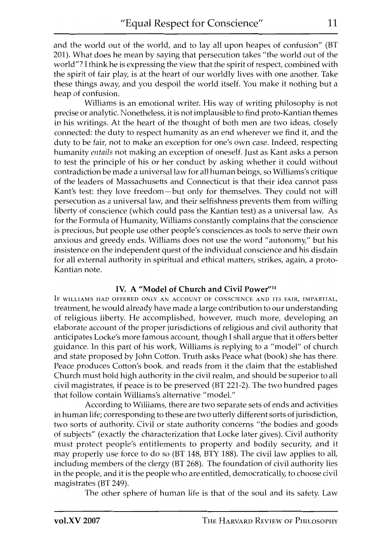and the world out of the world, and to lay all upon heapes of confusion" (BT 201). What does he mean by saying that persecution takes "the world out of the world"? I think he is expressing the view that the spirit of respect, combined with the spirit of fair play, is at the heart of our worldly lives with one another. Take these things away, and you despoil the world itself. You make it nothing but a heap of confusion.

Williams is an emotional writer. His way of writing philosophy is not precise or analytic. Nonetheless, it is not implausible to find proto-Kantian themes in his writings. At the heart of the thought of both men are two ideas, closely connected: the duty to respect humanity as an end wherever we find it, and the duty to be fair, not to make an exception for one's own case. Indeed, respecting humanity *entails* not making an exception of oneself. Just as Kant asks a person to test the principle of his or her conduct by asking whether it could without contradiction be made a universal law for all human beings, so Williams's critique of the leaders of Massachusetts and Connecticut is that their idea cannot pass Kant's test: they love freedom-but only for themselves. They could not will persecution as a universal law, and their selfishness prevents them from willing liberty of conscience (which could pass the Kantian test) as a universal law. As for the Formula of Humanity, Williams constantly complains that the conscience is precious, but people use other people's consciences as tools to serve their own anxious and greedy ends. Williams does not use the word "autonomy," but his insistence on the independent quest of the individual conscience and his disdain for all external authority in spiritual and ethical matters, strikes, again, a proto-Kantian note.

# IV. A "Model of Church and Civil Power''14

IF WILLIAMS HAD OFFERED ONLY AN ACCOUNT Or CONSCIENCE AND liS FAIR, IMPARTIAL, treatment, he would already have made a large contribution to our understanding of religious liberty. He accomplished, however, much more, developing an elaborate account of the proper jurisdictions of religious and civil authority that anticipates Locke's more famous account, though I shall argue that it offers better guidance. In this part of his work, Williams is replying to a "model" of church and state proposed by John Cotton. Truth asks Peace what (book) she has there. Peace produces Cotton's book, and reads from it the claim that the established Church must hold high authority in the civil realm, and should be superior to all civil magistrates, if peace is to be preserved (BT 221-2). The two hundred pages that follow contain Williams's alternative "model."

According to Williams, there are two separate sets of ends and activities in human life; corresponding to these are two utterly different sorts of jurisdiction, two sorts of authority. Civil or state authority concerns "the bodies and goods of subjects" (exactly the characterization that Locke later gives). Civil authority must protect people's entitlements to property and bodily security, and it may properly use force to do so (BT 148, BTY 188). The civil law applies to all, including members of the clergy (BT 268). The foundation of civil authority lies in the people, and it is the people who are entitled, democratically, to choose civil magistrates (BT 249).

The other sphere of human life is that of the soul and its safety. Law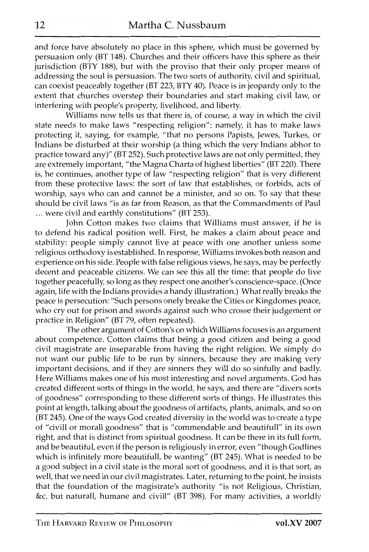and force have absolutely no place in this sphere, which must be governed by persuasion only (BT 148). Churches and their officers have this sphere as their jurisdiction (BTY 188), but with the proviso that their only proper means of addressing the soul is persuasion. The two sorts of authority, civil and spiritual, can coexist peaceably together (BT 223, BTY 40). Peace is in jeopardy only to the extent that churches overstep their boundaries and start making civil law, or interfering with people's property, livelihood, and liberty.

Williams now tells us that there is, of course, a way in which the civil state needs to make laws "respecting religion": namely, it has to make laws protecting it, saying, for example, "that no persons Papists, Jewes, Turkes, or Indians be disturbed at their worship (a thing which the very Indians abhor to practice toward any)" (BT 252). Such protective laws are not only permitted, they are extremely important, "the Magna Charta of highest liberties" (BT 220). There is, he continues, another type of law "respecting religion" that is very different from these protective laws: the sort of law that establishes, or forbids, acts of worship, says who can and cannot be a minister, and so on. To say that these should be civil laws "is as far from Reason, as that the Commandments of Paul ... were civil and earthly constitutions" (BT 253).

John Cotton makes two claims that Williams must answer, if he is to defend his radical position well. First, he makes a claim about peace and stability: people simply cannot live at peace with one another unless some religious orthodoxy is established. In response, Williams invokes both reason and experience on his side. People with false religious views, he says, may be perfectly decent and peaceable citizens. We can see this all the time: that people do live together peacefully, so long as they respect one another's conscience-space. (Once again, life with the Indians provides a handy illustration.) What really breaks the peace is persecution: "Such persons onely breake the Cities or Kingdomes peace, who cry out for prison and swords against such who crosse their judgement or practice in Religion" (BT 79, often repeated).

The other argument of Cotton's on which Williams focuses is an argument about competence. Cotton claims that being a good citizen and being a good civil magistrate are inseparable from having the right religion. We simply do not want our public life to be run by sinners, because they are making very important decisions, and if they are sinners they will do so sinfully and badly. Here Williams makes one of his most interesting and novel arguments. God has created different sorts of things in the world, he says, and there are "divers sorts of goodness" corresponding to these different sorts of things. He illustrates this point at length, talking about the goodness of artifacts, plants, animals, and so on (BT 245). One of the ways God created diversity in the world was to create a type of "civill or morall goodness" that is "commendable and beautifull" in its own right, and that is distinct from spiritual goodness. It can be there in its full form, and be beautiful, even if the person is religiously in error, even "though Godlines which is infinitely more beautifull, be wanting" (BT 245). What is needed to be a good subject in a civil state is the moral sort of goodness, and it is that sort, as well, that we need in our civil magistrates. Later, returning to the point, he insists that the foundation of the magistrate's authority "is not Religious, Christian, &c. but naturall, humane and civill" (BT 398). For many activities, a worldly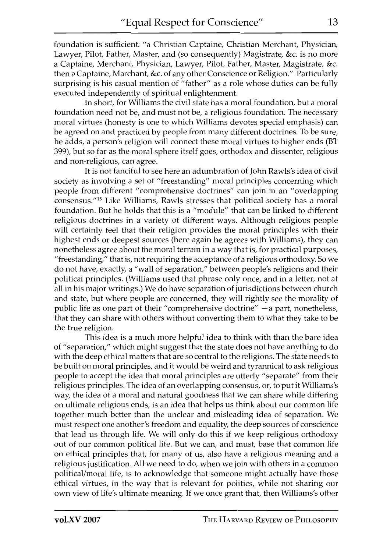foundation is sufficient: "a Christian Captaine, Christian Merchant, Physician, Lawyer, Pilot, Father, Master, and (so consequently) Magistrate, &c. is no more a Captaine, Merchant, Physician, Lawyer, Pilot, Father, Master, Magistrate, &c. then a Captaine, Marchant, &c. of any other Conscience or Religion." Particularly surprising is his casual mention of "father" as a role whose duties can be fully executed independently of spiritual enlightenment.

In short, for Williams the civil state has a moral foundation, but a moral foundation need not be, and must not be, a religious foundation. The necessary moral virtues (honesty is one to which Williams devotes special emphasis) can be agreed on and practiced by people from many different doctrines. To be sure, he adds, a person's religion will connect these moral virtues to higher ends (BT 399), but so far as the moral sphere itself goes, orthodox and dissenter, religious and non-religious, can agree.

It is not fanciful to see here an adumbration of John Rawls's idea of civil society as involving a set of "freestanding" moral principles concerning which people from different "comprehensive doctrines" can join in an "overlapping consensus."<sup>15</sup> Like Williams, Rawls stresses that political society has a moral foundation. But he holds that this is a "module" that can be linked to different religious doctrines in a variety of different ways. Although religious people will certainly feel that their religion provides the moral principles with their highest ends or deepest sources (here again he agrees with Williams), they can nonetheless agree about the moral terrain in a way that is, for practical purposes, "freestanding," that is, not requiring the acceptance of a religious orthodoxy. So we do not have, exactly, a "wall of separation," between people's religions and their political principles. (Williams used that phrase only once, and in a letter, not at all in his major writings.) We do have separation of jurisdictions between church and state, but where people are concerned, they will rightly see the morality of public life as one part of their "comprehensive doctrine"  $-a$  part, nonetheless, that they can share with others without converting them to what they take to be the true religion.

This idea is a much more helpful idea to think with than the bare idea of" separation," which might suggest that the state does not have anything to do with the deep ethical matters that are so central to the religions. The state needs to be built on moral principles, and it would be weird and tyrannical to ask religious people to accept the idea that moral principles are utterly "separate" from their religious principles. The idea of an overlapping consensus, or, to put it Williams's way, the idea of a moral and natural goodness that we can share while differing on ultimate religious ends, is an idea that helps us think about our common life together much better than the unclear and misleading idea of separation. We must respect one another's freedom and equality, the deep sources of conscience that lead us through life. We will only do this if we keep religious orthodoxy out of our common political life. But we can, and must, base that common life on ethical principles that, for many of us, also have a religious meaning and a religious justification. All we need to do, when we join with others in a common political/moral life, is to acknowledge that someone might actually have those ethical virtues, in the way that is relevant for politics, while not sharing our own view of life's ultimate meaning. If we once grant that, then Williams's other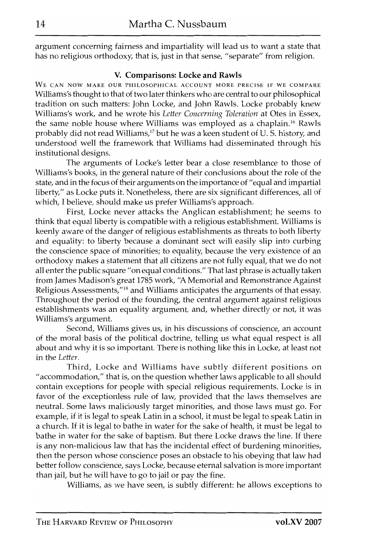argument concerning fairness and impartiality will lead us to want a state that has no religious orthodoxy, that is, just in that sense, "separate" from religion.

# V. Comparisons: Locke and Rawls

WE CAN NOW MAKE OUR PHILOSOPHICAL ACCOUNT MORE PRECISE IF WE COMPARE Williams's thought to that of two later thin kers who are central to our philosophical tradition on such matters: John Locke, and John Rawls. Locke probably knew Williams's work, and he wrote his *Letter Concerning Toleration* at Otes in Essex, the same noble house where Williams was employed as a chaplain.<sup>16</sup> Rawls probably did not read Williams,<sup>17</sup> but he was a keen student of U.S. history, and understood well the framework that Williams had disseminated through his institutional designs.

The arguments of Locke's letter bear a close resemblance to those of Williams's books, in the general nature of their conclusions about the role of the state, and in the focus of their arguments on the importance of "equal and impartial liberty," as Locke puts it. Nonetheless, there are six significant differences, all of which, I believe, should make us prefer Williams's approach.

First, Locke never attacks the Anglican establishment; he seems to think that equal liberty is compatible with a religious establishment. Williams is keenly aware of the danger of religious establishments as threats to both liberty and equality: to liberty because a dominant sect will easily slip into curbing the conscience space of minorities; to equality, because the very existence of an orthodoxy makes a statement that all citizens are not fully equal, that we do not all enter the public square "on equal conditions." That last phrase is actually taken from James Madison's great 1785 work, "A Memorial and Remonstrance Against Religious Assessments,"<sup>18</sup> and Williams anticipates the arguments of that essay. Throughout the period of the founding, the central argument against religious establishments was an equality argument, and, whether directly or not, it was Williams's argument.

Second, Williams gives us, in his discussions of conscience, an account of the moral basis of the political doctrine, telling us what equal respect is all about and why it is so important. There is nothing like this in Locke, at least not in the *Letter.* 

Third, Locke and Williams have subtly different positions on "accommodation," that is, on the question whether laws applicable to all should contain exceptions for people with special religious requirements. Locke is in favor of the exceptionless rule of law, provided that the laws themselves are neutral. Some laws maliciously target minorities, and those laws must go. For example, if it is legal to speak Latin in a school, it must be legal to speak Latin in a church. If it is legal to bathe in water for the sake of health, it must be legal to bathe in water for the sake of baptism. But there Locke draws the line. If there is any non-malicious law that has the incidental effect of burdening minorities, then the person whose conscience poses an obstacle to his obeying that law had better follow conscience, says Locke, because eternal salvation is more important than jail, but he will have to go to jail or pay the fine.

Williams, as we have seen, is subtly different: he allows exceptions to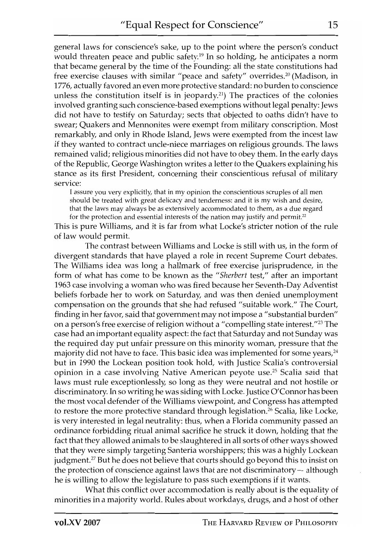general laws for conscience's sake, up to the point where the person's conduct would threaten peace and public safety.<sup>19</sup> In so holding, he anticipates a norm that became general by the time of the Founding: all the state constitutions had free exercise clauses with similar "peace and safety" overrides.<sup>20</sup> (Madison, in 1776, actually favored an even more protective standard: no burden to conscience unless the constitution itself is in jeopardy.<sup>21</sup>) The practices of the colonies involved granting such conscience-based exemptions without legal penalty: Jews did not have to testify on Saturday; sects that objected to oaths didn't have to swear; Quakers and Mennonites were exempt from military conscription. Most remarkably, and only in Rhode Island, Jews were exempted from the incest law if they wanted to contract uncle-niece marriages on religious grounds. The laws remained valid; religious minorities did not have to obey them. In the early days of the Republic, George Washington writes a letter to the Quakers explaining his stance as its first President, concerning their conscientious refusal of military service:

I assure you very explicitly, that in my opinion the conscientious scruples of all men should be treated with great delicacy and tenderness: and it is my wish and desire, that the laws may always be as extensively accommodated to them, as a due regard for the protection and essential interests of the nation may justify and permit.<sup>22</sup>

This is pure Williams, and it is far from what Locke's stricter notion of the rule of law would permit.

The contrast between Williams and Locke is still with us, in the form of divergent standards that have played a role in recent Supreme Court debates. The Williams idea was long a hallmark of free exercise jurisprudence, in the form of what has come to be known as the "Sherbert test," after an important 1963 case involving a woman who was fired because her Seventh-Day Adventist beliefs forbade her to work on Saturday, and was then denied unemployment compensation on the grounds that she had refused "suitable work." The Court, finding in her favor, said that government may not impose a "substantial burden" on a person's free exercise of religion without a "compelling state interest."23 The case had an important equality aspect: the fact that Saturday and not Sunday was the required day put unfair pressure on this minority woman, pressure that the majority did not have to face. This basic idea was implemented for some years,<sup>24</sup> but in 1990 the Lockean position took hold, with Justice Scalia's controversial opinion in a case involving Native American peyote use.25 Scalia said that laws must rule exceptionlessly, so long as they were neutral and not hostile or discriminatory. In so writing he was siding with Locke. Justice O'Connor has been the most vocal defender of the Williams viewpoint, and Congress has attempted to restore the more protective standard through legislation.<sup>26</sup> Scalia, like Locke, is very interested in legal neutrality: thus, when a Florida community passed an ordinance forbidding ritual animal sacrifice he struck it down, holding that the fact that they allowed animals to be slaughtered in all sorts of other ways showed that they were simply targeting Santeria worshippers; this was a highly Lockean judgment.27 But he does not believe that courts should go beyond this to insist on the protection of conscience against laws that are not discriminatory  $-$  although he is willing to allow the legislature to pass such exemptions if it wants.

What this conflict over accommodation is really about is the equality of minorities in a majority world. Rules about workdays, drugs, and a host of other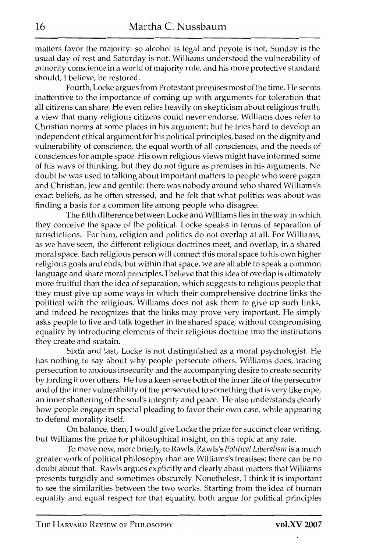matters favor the majority: so alcohol is legal and peyote is not, Sunday is the usual day of rest and Saturday is not. Williams understood the vulnerability of minority conscience in a world of majority rule, and his more protective standard should, I believe, be restored.

Fourth, Locke argues from Protestant premises most of the time. He seems inattentive to the importance of coming up with arguments for toleration that all citizens can share. He even relies heavily on skepticism about religious truth, a view that many religious citizens could never endorse. Williams does refer to Christian norms at some places in his argument; but he tries hard to develop an independent ethical argument for his political principles, based on the dignity and vulnerability of conscience, the equal worth of all consciences, and the needs of consciences for ample space. His own religious views might have informed some of his ways of thinking, but they do not figure as premises in his arguments. No doubt he was used to talking about important matters to people who were pagan and Christian, Jew and gentile: there was nobody around who shared Williams's exact beliefs, as he often stressed, and he felt that what politics was about was finding a basis for a common life among people who disagree.

The fifth difference between Locke and Williams lies in the way in which they conceive the space of the political. Locke speaks in terms of separation of jurisdictions. For him, religion and politics do not overlap at all. For Williams, as we have seen, the different religious doctrines meet, and overlap, in a shared moral space. Each religious person will connect this moral space to his own higher religious goals and ends; but within that space, we are all able to speak a common language and share moral principles. I believe that this idea of overlap is ultimately more fruitful than the idea of separation, which suggests to religious people that they must give up some ways in which their comprehensive doctrine links the political with the religious. Williams does not ask them to give up such links, and indeed he recognizes that the links may prove very important. He simply asks people to live and talk together in the shared space, without compromising equality by introducing elements of their religious doctrine into the institutions they create and sustain.

Sixth and last, Locke is not distinguished as a moral psychologist. He has nothing to say about why people persecute others. Williams does, tracing persecution to anxious insecurity and the accompanying desire to create security by lording it over others. He has a keen sense both of the inner life of the persecutor and of the inner vulnerability of the persecuted to something that is very like rape, an inner shattering of the soul's integrity and peace. He also understands dearly how people engage in special pleading to favor their own case, while appearing to defend morality itself.

On balance, then, I would give Locke the prize for succinct dear writing, but Williams the prize for philosophical insight, on this topic at any rate.

To move now, more briefly, to Rawls. Rawls's *Political Liberalism* is a much greater work of political philosophy than are Williams's treatises; there can be no doubt about that. Rawls argues explicitly and clearly about matters that Williams presents turgidly and sometimes obscurely. Nonetheless, I think it is important to see the similarities between the two works. Starting from the idea of human equality and equal respect for that equality, both argue for political principles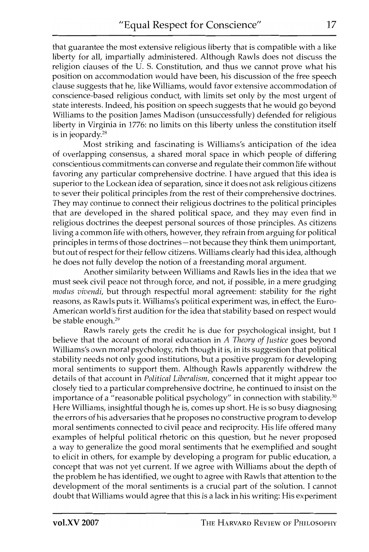that guarantee the most extensive religious liberty that is compatible with a like liberty for all, impartially administered. Although Rawls does not discuss the religion clauses of the U. S. Constitution, and thus we cannot prove what his position on accommodation would have been, his discussion of the free speech clause suggests that he, like Williams, would favor extensive accommodation of conscience-based religious conduct, with limits set only by the most urgent of state interests. Indeed, his position on speech suggests that he would go beyond Williams to the position James Madison (unsuccessfully) defended for religious liberty in Virginia in 1776: no limits on this liberty unless the constitution itself is in jeopardy.28

Most striking and fascinating is Williams's anticipation of the idea of overlapping consensus, a shared moral space in which people of differing conscientious commitments can converse and regulate their common life without favoring any particular comprehensive doctrine. I have argued that this idea is superior to the Lockean idea of separation, since it does not ask religious citizens to sever their political principles from the rest of their comprehensive doctrines. They may continue to connect their religious doctrines to the political principles that are developed in the shared political space, and they may even find in religious doctrines the deepest personal sources of those principles. As citizens living a common life with others, however, they refrain from arguing for political principles in terms of those doctrines-not because they think them unimportant, but out of respect for their fellow citizens. Williams clearly had this idea, although he does not fully develop the notion of a freestanding moral argument.

Another similarity between Williams and Rawls lies in the idea that we must seek civil peace not through force, and not, if possible, in a mere grudging *modus vivendi,* but through respectful moral agreement: stability for the right reasons, as Rawls puts it. Williams's political experiment was, in effect, the Euro-American world's first audition for the idea that stability based on respect would be stable enough.29

Rawls rarely gets the credit he is due for psychological insight, but I believe that the account of moral education in *A Theory of Justice* goes beyond Williams's own moral psychology, rich though it is, in its suggestion that political stability needs not only good institutions, but a positive program for developing moral sentiments to support them. Although Rawls apparently withdrew the details of that account in *Political Liberalism,* concerned that it might appear too closely tied to a particular comprehensive doctrine, he continued to insist on the importance of a "reasonable political psychology" in connection with stability.<sup>30</sup> Here Williams, insightful though he is, comes up short. He is so busy diagnosing the errors of his adversaries that he proposes no constructive program to develop moral sentiments connected to civil peace and reciprocity. His life offered many examples of helpful political rhetoric on this question, but he never proposed a way to generalize the good moral sentiments that he exemplified and sought to elicit in others, for example by developing a program for public education, a concept that was not yet current. If we agree with Williams about the depth of the problem he has identified, we ought to agree with Rawls that attention to the development of the moral sentiments is a crucial part of the solution. I cannot doubt that Williams would agree that this is a lack in his writing: His experiment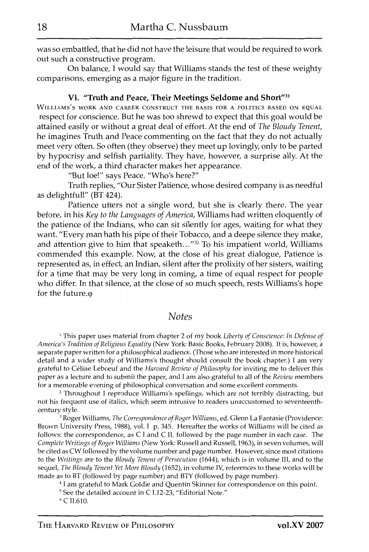was so embattled, that he did not have the leisure that would be required to work out such a constructive program.

On balance, I would say that Williams stands the test of these weighty comparisons, emerging as a major figure in the tradition.

### **VI.** "Truth **and** Peace, Their Meetings Seldome **and** Short"31

WILLIAMS'S WORK AND CAREER CONSTRUCT THE BASIS FOR A POLITICS BASED ON EQUAL respect for conscience. But he was too shrewd to expect that this goal would be attained easily or without a great deal of effort. At the end of *The Bloudy Tenent,*  he imagines Truth and Peace commenting on the fact that they do not actually meet very often. So often (they observe) they meet up lovingly, only to be parted by hypocrisy and selfish partiality. They have, however, a surprise ally. At the end of the work, a third character makes her appearance.

"But loe!" says Peace. "Who's here?"

Truth replies, "Our Sister Patience, whose desired company is as needful as delightfull" (BT 424).

Patience utters not a single word, but she is clearly there. The year before, in his *Key to the Languages of America,* Williams had written eloquently of the patience of the Indians, who can sit silently for ages, waiting for what they want. "Every man hath his pipe of their Tobacco, and a deepe silence they make, and attention give to him that speaketh..."<sup>32</sup> To his impatient world, Williams commended this example. Now, at the close of his great dialogue, Patience is represented as, in effect, an Indian, silent after the prolixity of her sisters, waiting for a time that may be very long in coming, a time of equal respect for people who differ. In that silence, at the close of so much speech, rests Williams's hope for the future.<sup>o</sup>

## *Notes*

<sup>1</sup> This paper uses material from chapter 2 of my book *Liberty of Conscience: In Defense of Ilmerica's Tradition ofReligiolis Equality* (New York: Basic Books, February 2008). It is, however, a separate paper written for a philosophical audience. (Those wbo are interested in more historical detail and a wider study of Williams's thought should consult the book chapter.) I am very grateful to Céline Leboeuf and the *Harvard Review of Philosophy* for inviting me to deliver this paper as a lecture and to submit the paper, and I am also grateful to all of the *Review* members for a memorable evening of philosophical conversation and some excellent comments.

2 Throughout I reproduce Williams's spellings, which are not terribly distracting, but not bis frequent use of italics, which seem intrusive to readers unaccustomed to seventeenthcentury style.

<sup>3</sup> Roger Williams, *The Correspondence of Roger Williams*, ed. Glenn La Fantasie (Providence: Brown University Press, 1988), vol. I p. 345. Hereafter the works of Williams will be cited as follows: the correspondence, as C I and C II, followed by the page number in each case. The *Complete Writings of Roger Williams* (New York: Russell and Russell, 1963), in seven volumes, will be cited as CW followed by the volume number and page number. However, since most citations to the *Writings* are to the *Bloudy Tenent of Persecution* (1644), wbich is in volume III, and to the sequel, *The Bloudy Tenent Yet More Bloudy* (1652), in volume IV, references to these works will be made as to BT (followed by page number) and BTY (followed by page number).

<sup>4</sup> I am grateful to Mark Goldie and Quentin Skinner for correspondence on this point.

<sup>5</sup> See the detailed account in C I.12-23, "Editorial Note."

<sup>6</sup> C II.610.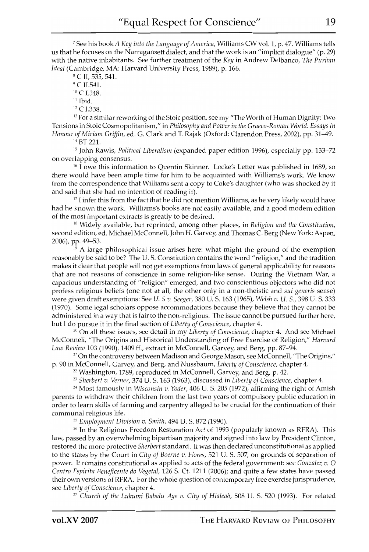<sup>7</sup> See his book *A Key into the Language of America*, Williams CW vol. 1, p. 47. Williams tells us that he focuses on the Narragansett dialect, and that the work is an "implicit dialogue" (p. 29) with the native inhabitants. See further treatment of the *Key* in Andrew Delbanco, *The Puritan Ideal* (Cambridge, MA: Harvard University Press, 1989), p. 166.

 $^8$  C II, 535, 541.  $^9$  C II.541.

 $10$  C I.348.

<sup>11</sup> Ibid.

 $12$  C I.338.

 $13$  For a similar reworking of the Stoic position, see my "The Worth of Human Dignity: Two Tensions in Stoic Cosmopolitanism," in *Philosophy and Power in the Graeco-Roman World: Essays in Honour of Miriam Griffin, ed. G. Clark and T. Rajak (Oxford: Clarendon Press, 2002), pp.* 31–49.

<sup>14</sup> BT 221.

<sup>15</sup> John Rawls, *Political Liberalism* (expanded paper edition 1996), especially pp. 133–72 on overlapping consensus.

 $^{16}$  I owe this information to Quentin Skinner. Locke's Letter was published in 1689, so there would have been ample time for him to be acquainted with Williams's work. We know from the correspondence that Williams sent a copy to Coke's daughter (who was shocked by it and said that she had no intention of reading it).

<sup>17</sup> I infer this from the fact that he did not mention Williams, as he very likely would have had he known the work. Williams's books are not easily available, and a good modern edition of the most important extracts is greatly to be desired.

<sup>18</sup> Widely available, but reprinted, among other places, in *Religion and the Constitution*, second edition, ed. Michael McConnell, John H. Garvey, and Thomas C. Berg (New York: Aspen, 2006), pp. 49-53.

 $1<sup>9</sup>$  A large philosophical issue arises here: what might the ground of the exemption reasonably be said to be? The U. S. Constitution contains the word "religion," and the tradition makes it clear that people will not get exemptions from laws of general applicability for reasons that are not reasons of conscience in some religion-like sense. During the Vietnam War, a capacious understanding of "religion" emerged, and two conscientious objectors who did not profess religious beliefs (one not at all, the other only in a non-theistic and slii *generis* sense) were given draft exemptions: See *U.* S *v. Seeger,* 380 U. S. 163 (1965), IVe/5h 1'. U. S., 398 U. S. 333 (1970). Some legal scholars oppose accommodations because they believe that they cannot be administered in a way that is fair to the non-religious. The issue cannot be pursued further here, but I do pursue it in the final section of *Liberty of Conscience*, chapter 4.

<sup>20</sup> On all these issues, see detail in my *Liberty of Conscience*, chapter 4. And see Michael McConnell, "The Origins and Historical Understanding of Free Exercise of Religion," *Harvard Law Review* 103 (1990), 1409 ff., extract in McConnell, Garvey, and Berg, pp. 87-94.

<sup>21</sup> On the controversy between Madison and George Mason, see McConnell, "The Origins," p. 90 in McConnell, Garvey, and Berg, and Nussbaum, *Liberty of COllscience,* chapter 4.

<sup>22</sup> Washington, 1789, reproduced in McConnell, Garvey, and Berg, p. 42.

*23 Sherbert v. Verner,* 374 U. S. 163 (1963), discussed in *Liberty of Conscience,* chapter 4.

<sup>24</sup> Most famously in *Wisconsin v. Yoder,* 406 U.S. 205 (1972), affirming the right of Amish parents to withdraw their children from the last two years of compulsory public education in order to learn skills of farming and carpentry alleged to be crucial for the continuation of their communal religious life.

<sup>25</sup> Employment Division *v. Smith,* **494 U. S. 872 (1990).** 

 $26$  In the Religious Freedom Restoration Act of 1993 (popularly known as RFRA). This law, passed by an overwhelming bipartisan majority and signed into law by President Clinton, restored the more protective *Sherbert* standard. It was then declared unconstitutional as applied to the states bv the Court in *City of Boerne v. Flores,* 521 U. S. 507, on grounds of separation of power. It remains constitutional as applied to acts of the federal government: see *Gonzalez v. O Centro Espirita Beneficente do Vegetal, 126 S. Ct. 1211 (2006); and quite a few states have passed* their own versions of RFRA. For the whole question of contemporary free exercise jurisprudence, see *Liberty of Conscience,* chapter 4.

*27 Church of the Lukumi Balmlll Aye v. City of Hillieah,* 508 U. S. 520 (1993). For related